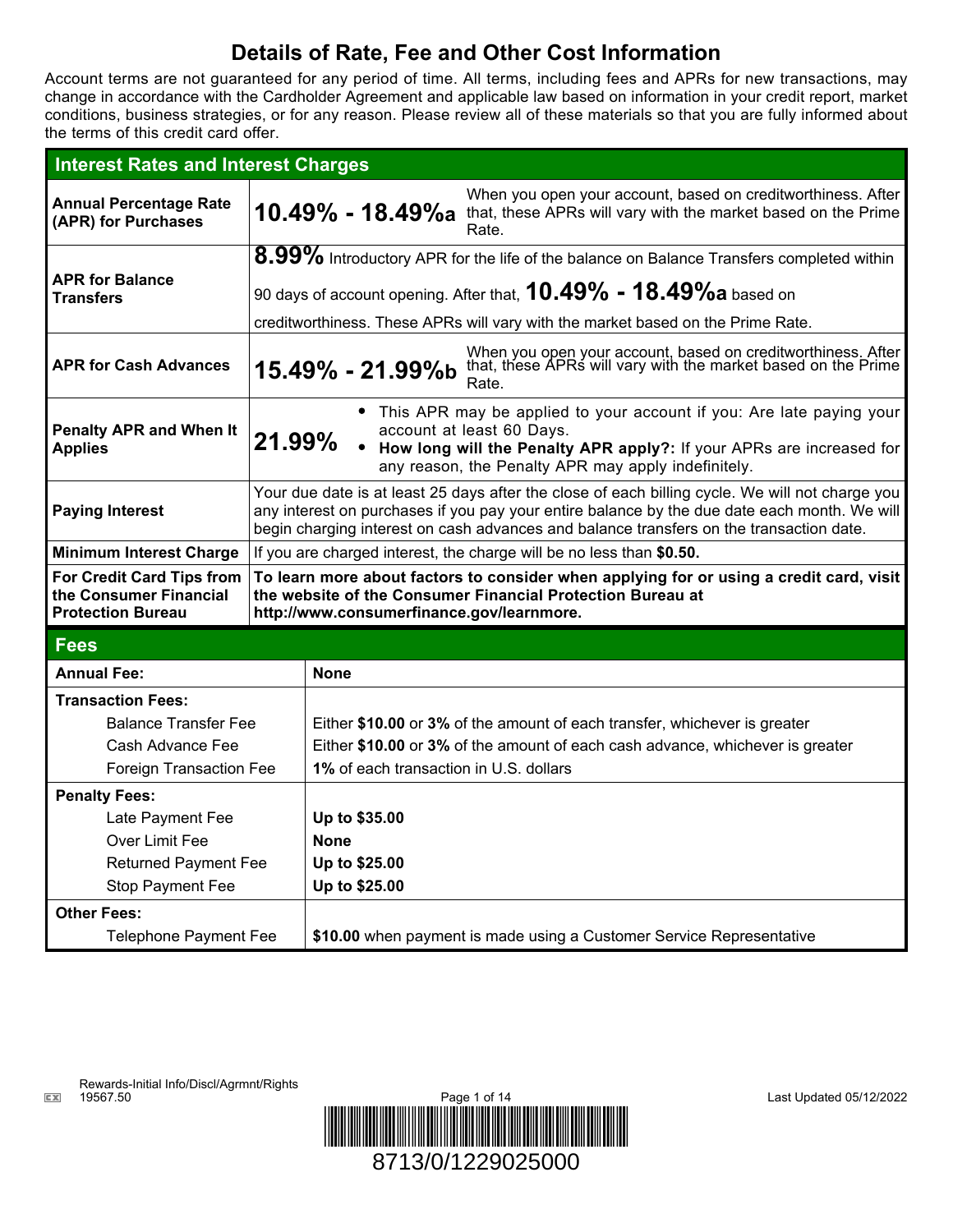# **Details of Rate, Fee and Other Cost Information**

Account terms are not guaranteed for any period of time. All terms, including fees and APRs for new transactions, may change in accordance with the Cardholder Agreement and applicable law based on information in your credit report, market conditions, business strategies, or for any reason. Please review all of these materials so that you are fully informed about the terms of this credit card offer.

| <b>Interest Rates and Interest Charges</b>                                                                    |                                                                                                                                                                                                                                                                                            |                                        |                                                                                                                                                            |  |
|---------------------------------------------------------------------------------------------------------------|--------------------------------------------------------------------------------------------------------------------------------------------------------------------------------------------------------------------------------------------------------------------------------------------|----------------------------------------|------------------------------------------------------------------------------------------------------------------------------------------------------------|--|
| <b>Annual Percentage Rate</b><br>(APR) for Purchases                                                          |                                                                                                                                                                                                                                                                                            | 10.49% - 18.49%a                       | When you open your account, based on creditworthiness. After<br>that, these APRs will vary with the market based on the Prime<br>Rate.                     |  |
| <b>APR for Balance</b><br><b>Transfers</b>                                                                    | $8.99\%$ Introductory APR for the life of the balance on Balance Transfers completed within                                                                                                                                                                                                |                                        |                                                                                                                                                            |  |
|                                                                                                               | 90 days of account opening. After that, $10.49\%$ - $18.49\%$ a based on                                                                                                                                                                                                                   |                                        |                                                                                                                                                            |  |
|                                                                                                               | creditworthiness. These APRs will vary with the market based on the Prime Rate.                                                                                                                                                                                                            |                                        |                                                                                                                                                            |  |
| <b>APR for Cash Advances</b>                                                                                  |                                                                                                                                                                                                                                                                                            | 15.49% - 21.99%b                       | When you open your account, based on creditworthiness. After that, these APRs will vary with the market based on the Prime<br>Rate.                        |  |
| <b>Penalty APR and When It</b><br><b>Applies</b>                                                              | • This APR may be applied to your account if you: Are late paying your<br>account at least 60 Days.<br>21.99%<br>• How long will the Penalty APR apply?: If your APRs are increased for<br>any reason, the Penalty APR may apply indefinitely.                                             |                                        |                                                                                                                                                            |  |
| <b>Paying Interest</b>                                                                                        | Your due date is at least 25 days after the close of each billing cycle. We will not charge you<br>any interest on purchases if you pay your entire balance by the due date each month. We will<br>begin charging interest on cash advances and balance transfers on the transaction date. |                                        |                                                                                                                                                            |  |
| <b>Minimum Interest Charge</b>                                                                                | If you are charged interest, the charge will be no less than \$0.50.                                                                                                                                                                                                                       |                                        |                                                                                                                                                            |  |
| For Credit Card Tips from<br>the Consumer Financial<br><b>Protection Bureau</b>                               | To learn more about factors to consider when applying for or using a credit card, visit<br>the website of the Consumer Financial Protection Bureau at<br>http://www.consumerfinance.gov/learnmore.                                                                                         |                                        |                                                                                                                                                            |  |
| <b>Fees</b>                                                                                                   |                                                                                                                                                                                                                                                                                            |                                        |                                                                                                                                                            |  |
| <b>Annual Fee:</b>                                                                                            |                                                                                                                                                                                                                                                                                            | <b>None</b>                            |                                                                                                                                                            |  |
| <b>Transaction Fees:</b><br><b>Balance Transfer Fee</b><br>Cash Advance Fee<br><b>Foreign Transaction Fee</b> |                                                                                                                                                                                                                                                                                            | 1% of each transaction in U.S. dollars | Either \$10.00 or 3% of the amount of each transfer, whichever is greater<br>Either \$10.00 or 3% of the amount of each cash advance, whichever is greater |  |
| <b>Penalty Fees:</b>                                                                                          |                                                                                                                                                                                                                                                                                            |                                        |                                                                                                                                                            |  |
| Late Payment Fee                                                                                              |                                                                                                                                                                                                                                                                                            | Up to \$35.00                          |                                                                                                                                                            |  |
| Over Limit Fee                                                                                                |                                                                                                                                                                                                                                                                                            | <b>None</b>                            |                                                                                                                                                            |  |
| <b>Returned Payment Fee</b>                                                                                   |                                                                                                                                                                                                                                                                                            | Up to \$25.00                          |                                                                                                                                                            |  |
| Stop Payment Fee                                                                                              |                                                                                                                                                                                                                                                                                            | Up to \$25.00                          |                                                                                                                                                            |  |
| <b>Other Fees:</b>                                                                                            |                                                                                                                                                                                                                                                                                            |                                        |                                                                                                                                                            |  |
| <b>Telephone Payment Fee</b>                                                                                  |                                                                                                                                                                                                                                                                                            |                                        | \$10.00 when payment is made using a Customer Service Representative                                                                                       |  |

Rewards-Initial Info/Discl/Agrmnt/Rights **CX** 

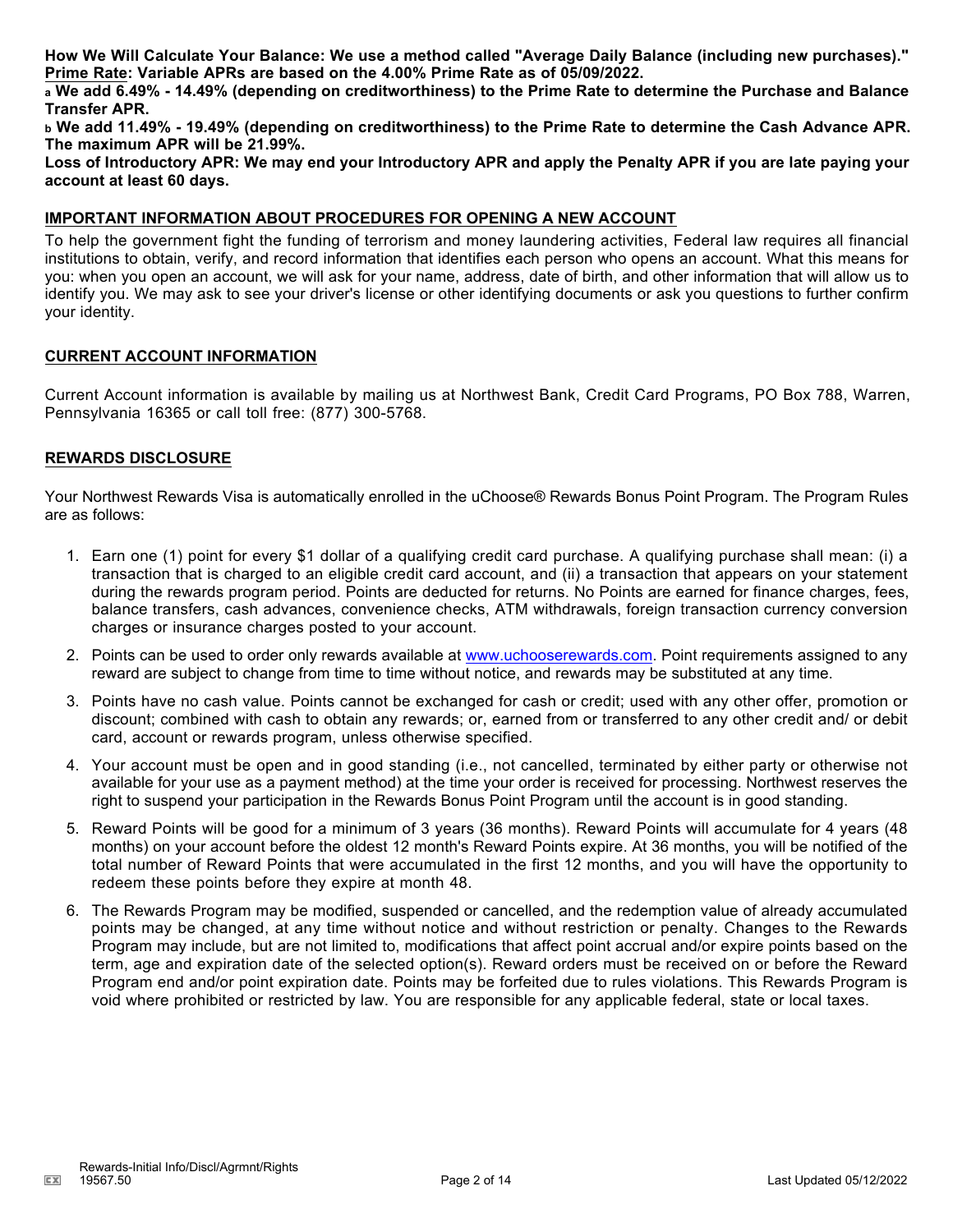**How We Will Calculate Your Balance: We use a method called "Average Daily Balance (including new purchases)." Prime Rate: Variable APRs are based on the 4.00% Prime Rate as of 05/09/2022.**

**<sup>a</sup> We add 6.49% - 14.49% (depending on creditworthiness) to the Prime Rate to determine the Purchase and Balance Transfer APR.**

**<sup>b</sup> We add 11.49% - 19.49% (depending on creditworthiness) to the Prime Rate to determine the Cash Advance APR. The maximum APR will be 21.99%.**

**Loss of Introductory APR: We may end your Introductory APR and apply the Penalty APR if you are late paying your account at least 60 days.**

#### **IMPORTANT INFORMATION ABOUT PROCEDURES FOR OPENING A NEW ACCOUNT**

To help the government fight the funding of terrorism and money laundering activities, Federal law requires all financial institutions to obtain, verify, and record information that identifies each person who opens an account. What this means for you: when you open an account, we will ask for your name, address, date of birth, and other information that will allow us to identify you. We may ask to see your driver's license or other identifying documents or ask you questions to further confirm your identity.

#### **CURRENT ACCOUNT INFORMATION**

Current Account information is available by mailing us at Northwest Bank, Credit Card Programs, PO Box 788, Warren, Pennsylvania 16365 or call toll free: (877) 300-5768.

#### **REWARDS DISCLOSURE**

Your Northwest Rewards Visa is automatically enrolled in the uChoose® Rewards Bonus Point Program. The Program Rules are as follows:

- 1. Earn one (1) point for every \$1 dollar of a qualifying credit card purchase. A qualifying purchase shall mean: (i) a transaction that is charged to an eligible credit card account, and (ii) a transaction that appears on your statement during the rewards program period. Points are deducted for returns. No Points are earned for finance charges, fees, balance transfers, cash advances, convenience checks, ATM withdrawals, foreign transaction currency conversion charges or insurance charges posted to your account.
- 2. Points can be used to order only rewards available at www.uchooserewards.com. Point requirements assigned to any reward are subject to change from time to time without notice, and rewards may be substituted at any time.
- 3. Points have no cash value. Points cannot be exchanged for cash or credit; used with any other offer, promotion or discount; combined with cash to obtain any rewards; or, earned from or transferred to any other credit and/ or debit card, account or rewards program, unless otherwise specified.
- 4. Your account must be open and in good standing (i.e., not cancelled, terminated by either party or otherwise not available for your use as a payment method) at the time your order is received for processing. Northwest reserves the right to suspend your participation in the Rewards Bonus Point Program until the account is in good standing.
- 5. Reward Points will be good for a minimum of 3 years (36 months). Reward Points will accumulate for 4 years (48 months) on your account before the oldest 12 month's Reward Points expire. At 36 months, you will be notified of the total number of Reward Points that were accumulated in the first 12 months, and you will have the opportunity to redeem these points before they expire at month 48.
- 6. The Rewards Program may be modified, suspended or cancelled, and the redemption value of already accumulated points may be changed, at any time without notice and without restriction or penalty. Changes to the Rewards Program may include, but are not limited to, modifications that affect point accrual and/or expire points based on the term, age and expiration date of the selected option(s). Reward orders must be received on or before the Reward Program end and/or point expiration date. Points may be forfeited due to rules violations. This Rewards Program is void where prohibited or restricted by law. You are responsible for any applicable federal, state or local taxes.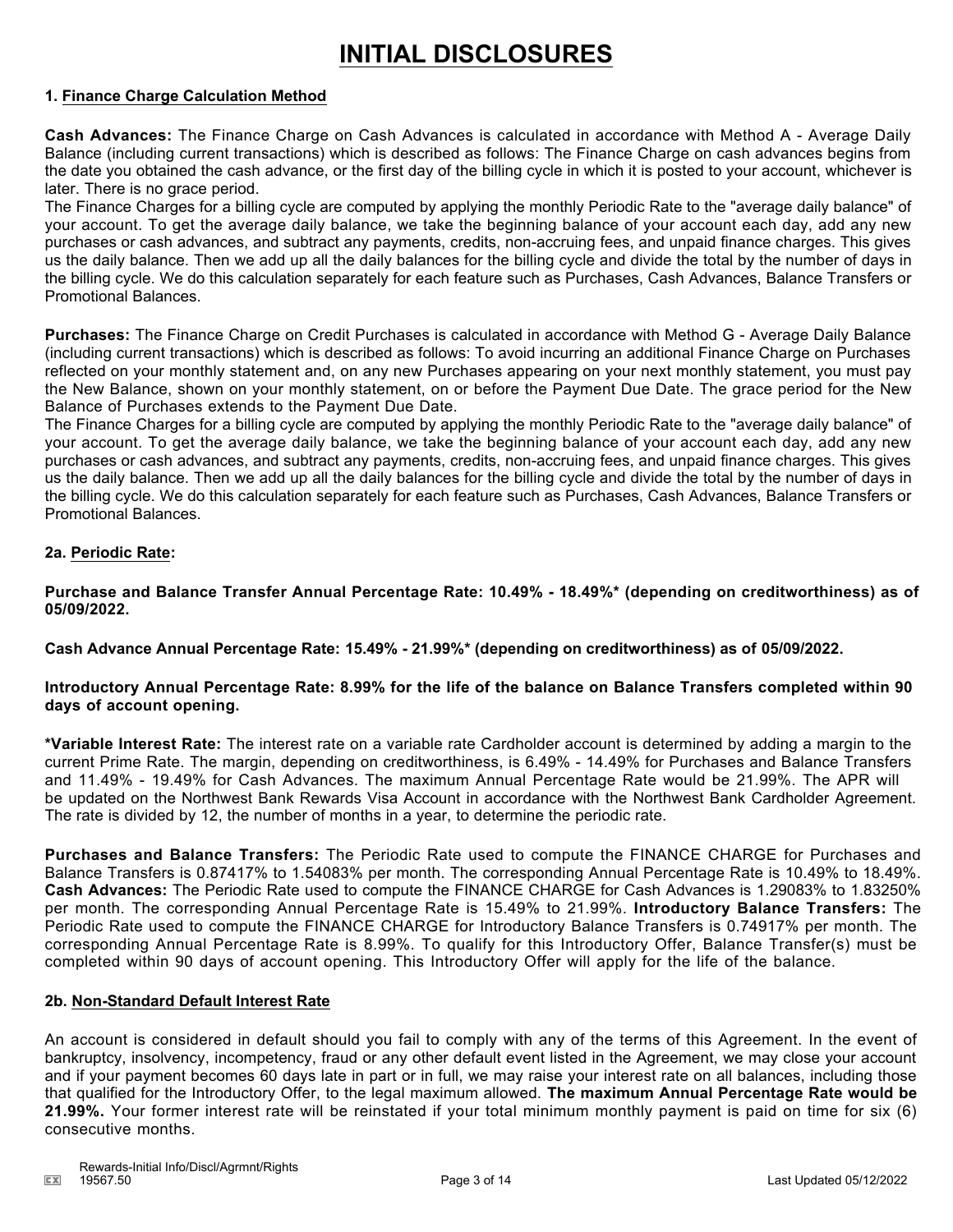# **INITIAL DISCLOSURES**

#### **1. Finance Charge Calculation Method**

**Cash Advances:** The Finance Charge on Cash Advances is calculated in accordance with Method A - Average Daily Balance (including current transactions) which is described as follows: The Finance Charge on cash advances begins from the date you obtained the cash advance, or the first day of the billing cycle in which it is posted to your account, whichever is later. There is no grace period.

The Finance Charges for a billing cycle are computed by applying the monthly Periodic Rate to the "average daily balance" of your account. To get the average daily balance, we take the beginning balance of your account each day, add any new purchases or cash advances, and subtract any payments, credits, non-accruing fees, and unpaid finance charges. This gives us the daily balance. Then we add up all the daily balances for the billing cycle and divide the total by the number of days in the billing cycle. We do this calculation separately for each feature such as Purchases, Cash Advances, Balance Transfers or Promotional Balances.

**Purchases:** The Finance Charge on Credit Purchases is calculated in accordance with Method G - Average Daily Balance (including current transactions) which is described as follows: To avoid incurring an additional Finance Charge on Purchases reflected on your monthly statement and, on any new Purchases appearing on your next monthly statement, you must pay the New Balance, shown on your monthly statement, on or before the Payment Due Date. The grace period for the New Balance of Purchases extends to the Payment Due Date.

The Finance Charges for a billing cycle are computed by applying the monthly Periodic Rate to the "average daily balance" of your account. To get the average daily balance, we take the beginning balance of your account each day, add any new purchases or cash advances, and subtract any payments, credits, non-accruing fees, and unpaid finance charges. This gives us the daily balance. Then we add up all the daily balances for the billing cycle and divide the total by the number of days in the billing cycle. We do this calculation separately for each feature such as Purchases, Cash Advances, Balance Transfers or Promotional Balances.

#### **2a. Periodic Rate:**

**Purchase and Balance Transfer Annual Percentage Rate: 10.49% - 18.49%\* (depending on creditworthiness) as of 05/09/2022.**

**Cash Advance Annual Percentage Rate: 15.49% - 21.99%\* (depending on creditworthiness) as of 05/09/2022.**

#### **Introductory Annual Percentage Rate: 8.99% for the life of the balance on Balance Transfers completed within 90 days of account opening.**

**\*Variable Interest Rate:** The interest rate on a variable rate Cardholder account is determined by adding a margin to the current Prime Rate. The margin, depending on creditworthiness, is 6.49% - 14.49% for Purchases and Balance Transfers and 11.49% - 19.49% for Cash Advances. The maximum Annual Percentage Rate would be 21.99%. The APR will be updated on the Northwest Bank Rewards Visa Account in accordance with the Northwest Bank Cardholder Agreement. The rate is divided by 12, the number of months in a year, to determine the periodic rate.

**Purchases and Balance Transfers:** The Periodic Rate used to compute the FINANCE CHARGE for Purchases and Balance Transfers is 0.87417% to 1.54083% per month. The corresponding Annual Percentage Rate is 10.49% to 18.49%. **Cash Advances:** The Periodic Rate used to compute the FINANCE CHARGE for Cash Advances is 1.29083% to 1.83250% per month. The corresponding Annual Percentage Rate is 15.49% to 21.99%. **Introductory Balance Transfers:** The Periodic Rate used to compute the FINANCE CHARGE for Introductory Balance Transfers is 0.74917% per month. The corresponding Annual Percentage Rate is 8.99%. To qualify for this Introductory Offer, Balance Transfer(s) must be completed within 90 days of account opening. This Introductory Offer will apply for the life of the balance.

#### **2b. Non-Standard Default Interest Rate**

An account is considered in default should you fail to comply with any of the terms of this Agreement. In the event of bankruptcy, insolvency, incompetency, fraud or any other default event listed in the Agreement, we may close your account and if your payment becomes 60 days late in part or in full, we may raise your interest rate on all balances, including those that qualified for the Introductory Offer, to the legal maximum allowed. **The maximum Annual Percentage Rate would be 21.99%.** Your former interest rate will be reinstated if your total minimum monthly payment is paid on time for six (6) consecutive months.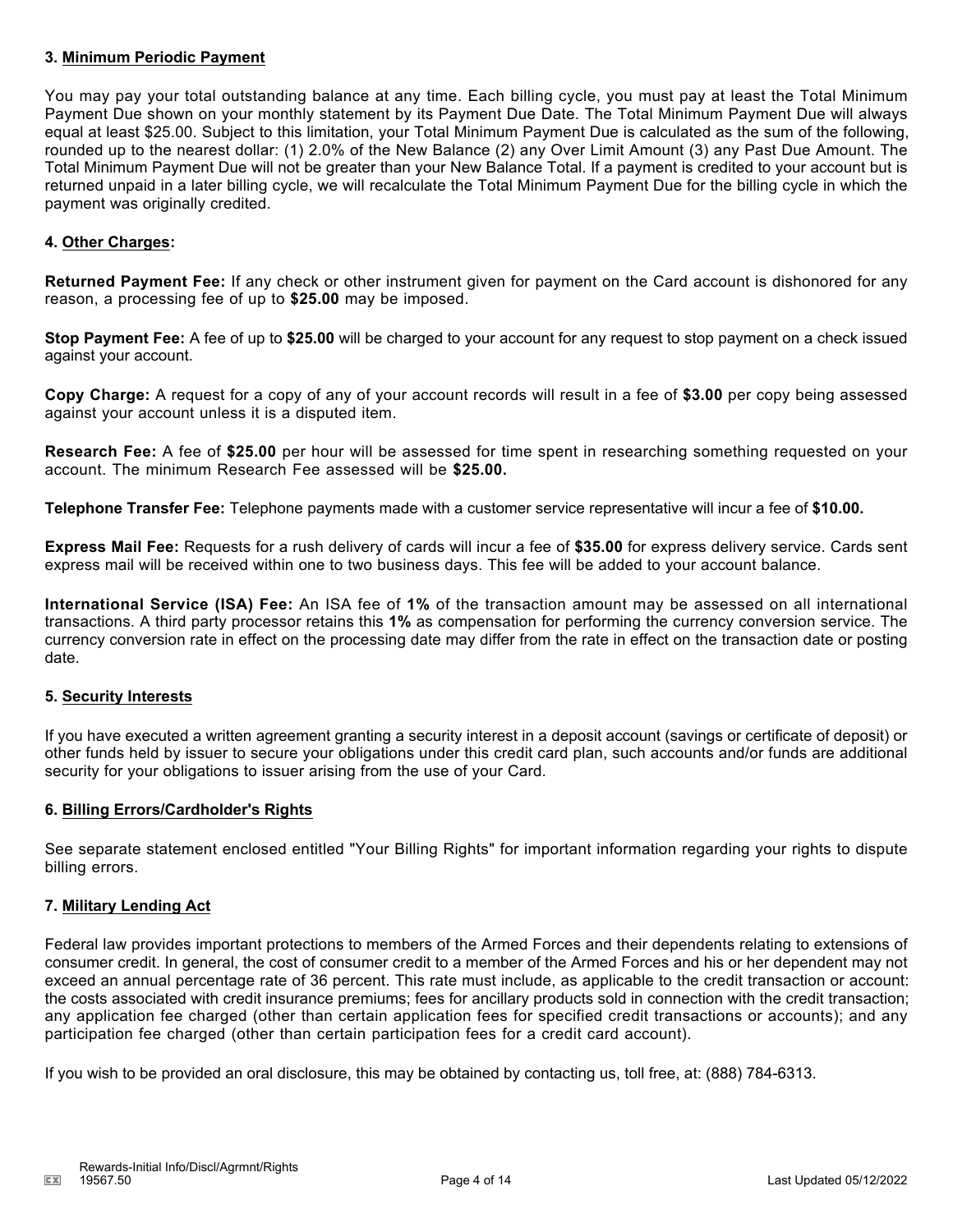#### **3. Minimum Periodic Payment**

You may pay your total outstanding balance at any time. Each billing cycle, you must pay at least the Total Minimum Payment Due shown on your monthly statement by its Payment Due Date. The Total Minimum Payment Due will always equal at least \$25.00. Subject to this limitation, your Total Minimum Payment Due is calculated as the sum of the following, rounded up to the nearest dollar: (1) 2.0% of the New Balance (2) any Over Limit Amount (3) any Past Due Amount. The Total Minimum Payment Due will not be greater than your New Balance Total. If a payment is credited to your account but is returned unpaid in a later billing cycle, we will recalculate the Total Minimum Payment Due for the billing cycle in which the payment was originally credited.

#### **4. Other Charges:**

**Returned Payment Fee:** If any check or other instrument given for payment on the Card account is dishonored for any reason, a processing fee of up to **\$25.00** may be imposed.

**Stop Payment Fee:** A fee of up to **\$25.00** will be charged to your account for any request to stop payment on a check issued against your account.

**Copy Charge:** A request for a copy of any of your account records will result in a fee of **\$3.00** per copy being assessed against your account unless it is a disputed item.

**Research Fee:** A fee of **\$25.00** per hour will be assessed for time spent in researching something requested on your account. The minimum Research Fee assessed will be **\$25.00.**

**Telephone Transfer Fee:** Telephone payments made with a customer service representative will incur a fee of **\$10.00.**

**Express Mail Fee:** Requests for a rush delivery of cards will incur a fee of **\$35.00** for express delivery service. Cards sent express mail will be received within one to two business days. This fee will be added to your account balance.

**International Service (ISA) Fee:** An ISA fee of **1%** of the transaction amount may be assessed on all international transactions. A third party processor retains this **1%** as compensation for performing the currency conversion service. The currency conversion rate in effect on the processing date may differ from the rate in effect on the transaction date or posting date.

#### **5. Security Interests**

If you have executed a written agreement granting a security interest in a deposit account (savings or certificate of deposit) or other funds held by issuer to secure your obligations under this credit card plan, such accounts and/or funds are additional security for your obligations to issuer arising from the use of your Card.

#### **6. Billing Errors/Cardholder's Rights**

See separate statement enclosed entitled "Your Billing Rights" for important information regarding your rights to dispute billing errors.

#### **7. Military Lending Act**

Federal law provides important protections to members of the Armed Forces and their dependents relating to extensions of consumer credit. In general, the cost of consumer credit to a member of the Armed Forces and his or her dependent may not exceed an annual percentage rate of 36 percent. This rate must include, as applicable to the credit transaction or account: the costs associated with credit insurance premiums; fees for ancillary products sold in connection with the credit transaction; any application fee charged (other than certain application fees for specified credit transactions or accounts); and any participation fee charged (other than certain participation fees for a credit card account).

If you wish to be provided an oral disclosure, this may be obtained by contacting us, toll free, at: (888) 784-6313.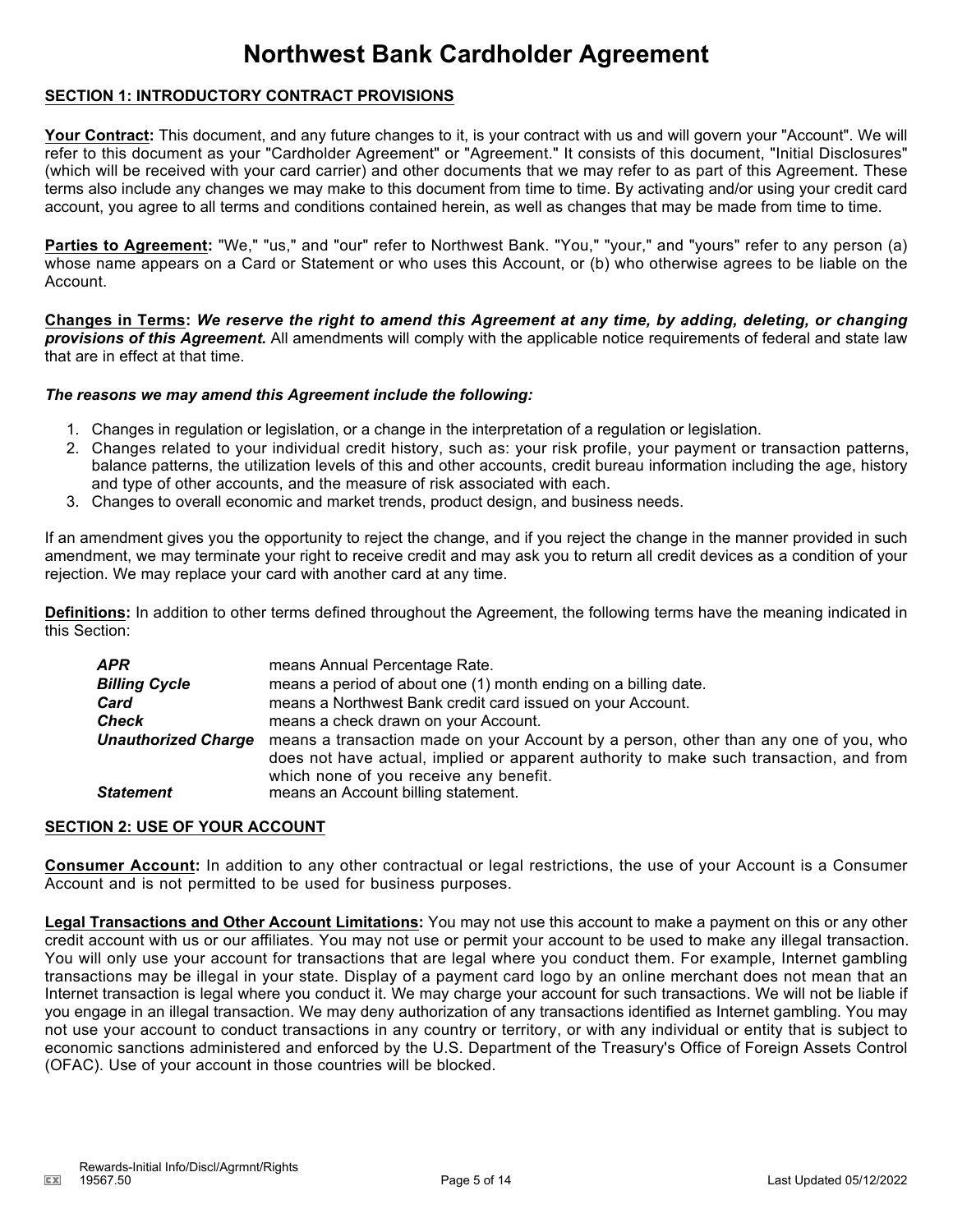# **Northwest Bank Cardholder Agreement**

#### **SECTION 1: INTRODUCTORY CONTRACT PROVISIONS**

Your Contract: This document, and any future changes to it, is your contract with us and will govern your "Account". We will refer to this document as your "Cardholder Agreement" or "Agreement." It consists of this document, "Initial Disclosures" (which will be received with your card carrier) and other documents that we may refer to as part of this Agreement. These terms also include any changes we may make to this document from time to time. By activating and/or using your credit card account, you agree to all terms and conditions contained herein, as well as changes that may be made from time to time.

**Parties to Agreement:** "We," "us," and "our" refer to Northwest Bank. "You," "your," and "yours" refer to any person (a) whose name appears on a Card or Statement or who uses this Account, or (b) who otherwise agrees to be liable on the Account.

**Changes in Terms:** *We reserve the right to amend this Agreement at any time, by adding, deleting, or changing provisions of this Agreement.* All amendments will comply with the applicable notice requirements of federal and state law that are in effect at that time.

#### *The reasons we may amend this Agreement include the following:*

- 1. Changes in regulation or legislation, or a change in the interpretation of a regulation or legislation.
- 2. Changes related to your individual credit history, such as: your risk profile, your payment or transaction patterns, balance patterns, the utilization levels of this and other accounts, credit bureau information including the age, history and type of other accounts, and the measure of risk associated with each.
- 3. Changes to overall economic and market trends, product design, and business needs.

If an amendment gives you the opportunity to reject the change, and if you reject the change in the manner provided in such amendment, we may terminate your right to receive credit and may ask you to return all credit devices as a condition of your rejection. We may replace your card with another card at any time.

**Definitions:** In addition to other terms defined throughout the Agreement, the following terms have the meaning indicated in this Section:

| APR                        | means Annual Percentage Rate.                                                                                                                                                                                            |
|----------------------------|--------------------------------------------------------------------------------------------------------------------------------------------------------------------------------------------------------------------------|
| <b>Billing Cycle</b>       | means a period of about one (1) month ending on a billing date.                                                                                                                                                          |
| Card                       | means a Northwest Bank credit card issued on your Account.                                                                                                                                                               |
| Check                      | means a check drawn on your Account.                                                                                                                                                                                     |
| <b>Unauthorized Charge</b> | means a transaction made on your Account by a person, other than any one of you, who<br>does not have actual, implied or apparent authority to make such transaction, and from<br>which none of you receive any benefit. |
| <b>Statement</b>           | means an Account billing statement.                                                                                                                                                                                      |

### **SECTION 2: USE OF YOUR ACCOUNT**

**Consumer Account:** In addition to any other contractual or legal restrictions, the use of your Account is a Consumer Account and is not permitted to be used for business purposes.

**Legal Transactions and Other Account Limitations:** You may not use this account to make a payment on this or any other credit account with us or our affiliates. You may not use or permit your account to be used to make any illegal transaction. You will only use your account for transactions that are legal where you conduct them. For example, Internet gambling transactions may be illegal in your state. Display of a payment card logo by an online merchant does not mean that an Internet transaction is legal where you conduct it. We may charge your account for such transactions. We will not be liable if you engage in an illegal transaction. We may deny authorization of any transactions identified as Internet gambling. You may not use your account to conduct transactions in any country or territory, or with any individual or entity that is subject to economic sanctions administered and enforced by the U.S. Department of the Treasury's Office of Foreign Assets Control (OFAC). Use of your account in those countries will be blocked.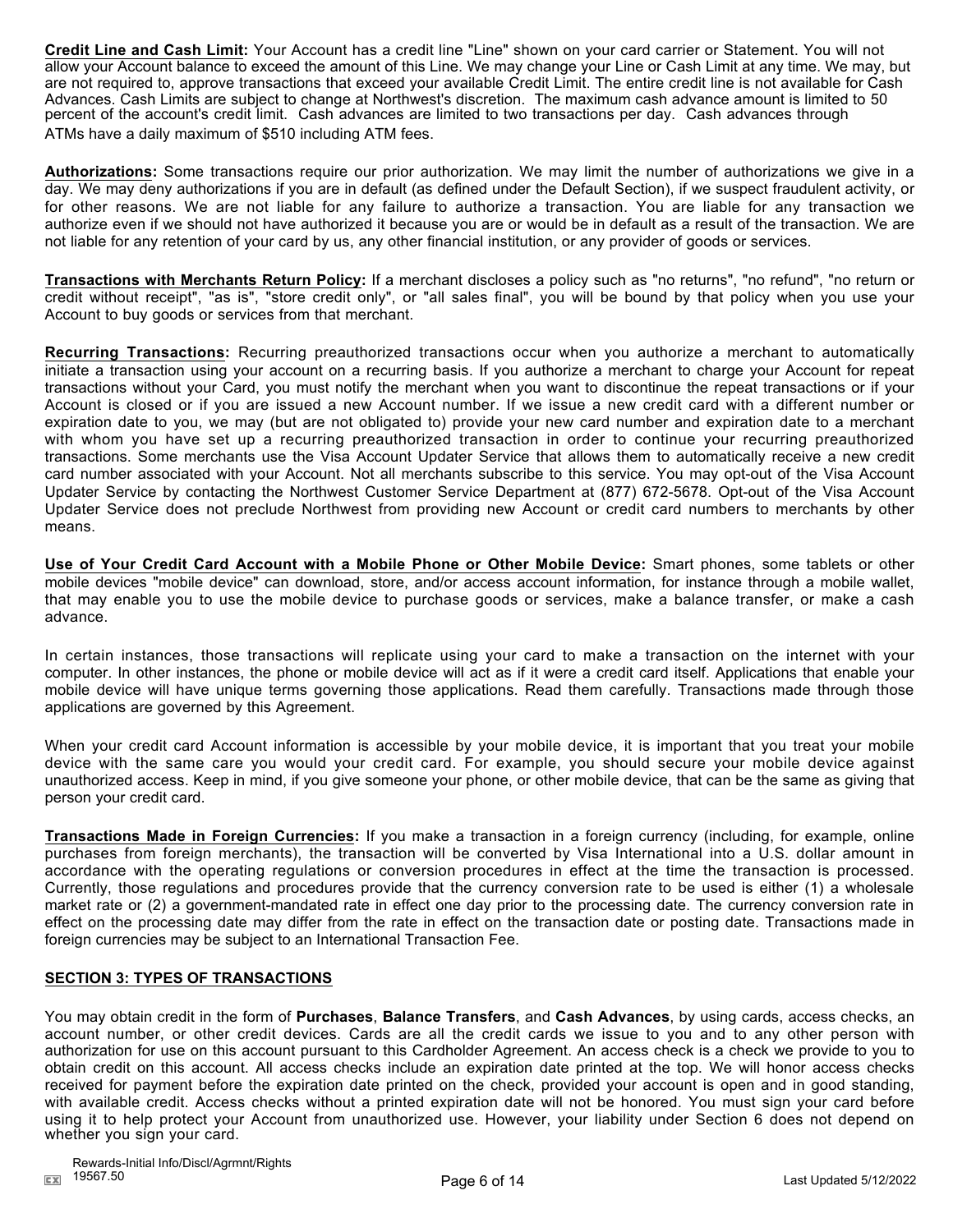**Credit Line and Cash Limit:** Your Account has a credit line "Line" shown on your card carrier or Statement. You will not allow your Account balance to exceed the amount of this Line. We may change your Line or Cash Limit at any time. We may, but are not required to, approve transactions that exceed your available Credit Limit. The entire credit line is not available for Cash Advances. Cash Limits are subject to change at Northwest's discretion. The maximum cash advance amount is limited to 50 percent of the account's credit limit. Cash advances are limited to two transactions per day. Cash advances through ATMs have a daily maximum of \$510 including ATM fees.

**Authorizations:** Some transactions require our prior authorization. We may limit the number of authorizations we give in a day. We may deny authorizations if you are in default (as defined under the Default Section), if we suspect fraudulent activity, or for other reasons. We are not liable for any failure to authorize a transaction. You are liable for any transaction we authorize even if we should not have authorized it because you are or would be in default as a result of the transaction. We are not liable for any retention of your card by us, any other financial institution, or any provider of goods or services.

**Transactions with Merchants Return Policy:** If a merchant discloses a policy such as "no returns", "no refund", "no return or credit without receipt", "as is", "store credit only", or "all sales final", you will be bound by that policy when you use your Account to buy goods or services from that merchant.

**Recurring Transactions:** Recurring preauthorized transactions occur when you authorize a merchant to automatically initiate a transaction using your account on a recurring basis. If you authorize a merchant to charge your Account for repeat transactions without your Card, you must notify the merchant when you want to discontinue the repeat transactions or if your Account is closed or if you are issued a new Account number. If we issue a new credit card with a different number or expiration date to you, we may (but are not obligated to) provide your new card number and expiration date to a merchant with whom you have set up a recurring preauthorized transaction in order to continue your recurring preauthorized transactions. Some merchants use the Visa Account Updater Service that allows them to automatically receive a new credit card number associated with your Account. Not all merchants subscribe to this service. You may opt-out of the Visa Account Updater Service by contacting the Northwest Customer Service Department at (877) 672-5678. Opt-out of the Visa Account Updater Service does not preclude Northwest from providing new Account or credit card numbers to merchants by other means.

**Use of Your Credit Card Account with a Mobile Phone or Other Mobile Device:** Smart phones, some tablets or other mobile devices "mobile device" can download, store, and/or access account information, for instance through a mobile wallet, that may enable you to use the mobile device to purchase goods or services, make a balance transfer, or make a cash advance.

In certain instances, those transactions will replicate using your card to make a transaction on the internet with your computer. In other instances, the phone or mobile device will act as if it were a credit card itself. Applications that enable your mobile device will have unique terms governing those applications. Read them carefully. Transactions made through those applications are governed by this Agreement.

When your credit card Account information is accessible by your mobile device, it is important that you treat your mobile device with the same care you would your credit card. For example, you should secure your mobile device against unauthorized access. Keep in mind, if you give someone your phone, or other mobile device, that can be the same as giving that person your credit card.

**Transactions Made in Foreign Currencies:** If you make a transaction in a foreign currency (including, for example, online purchases from foreign merchants), the transaction will be converted by Visa International into a U.S. dollar amount in accordance with the operating regulations or conversion procedures in effect at the time the transaction is processed. Currently, those regulations and procedures provide that the currency conversion rate to be used is either (1) a wholesale market rate or (2) a government-mandated rate in effect one day prior to the processing date. The currency conversion rate in effect on the processing date may differ from the rate in effect on the transaction date or posting date. Transactions made in foreign currencies may be subject to an International Transaction Fee.

#### **SECTION 3: TYPES OF TRANSACTIONS**

You may obtain credit in the form of **Purchases**, **Balance Transfers**, and **Cash Advances**, by using cards, access checks, an account number, or other credit devices. Cards are all the credit cards we issue to you and to any other person with authorization for use on this account pursuant to this Cardholder Agreement. An access check is a check we provide to you to obtain credit on this account. All access checks include an expiration date printed at the top. We will honor access checks received for payment before the expiration date printed on the check, provided your account is open and in good standing, with available credit. Access checks without a printed expiration date will not be honored. You must sign your card before using it to help protect your Account from unauthorized use. However, your liability under Section 6 does not depend on whether you sign your card.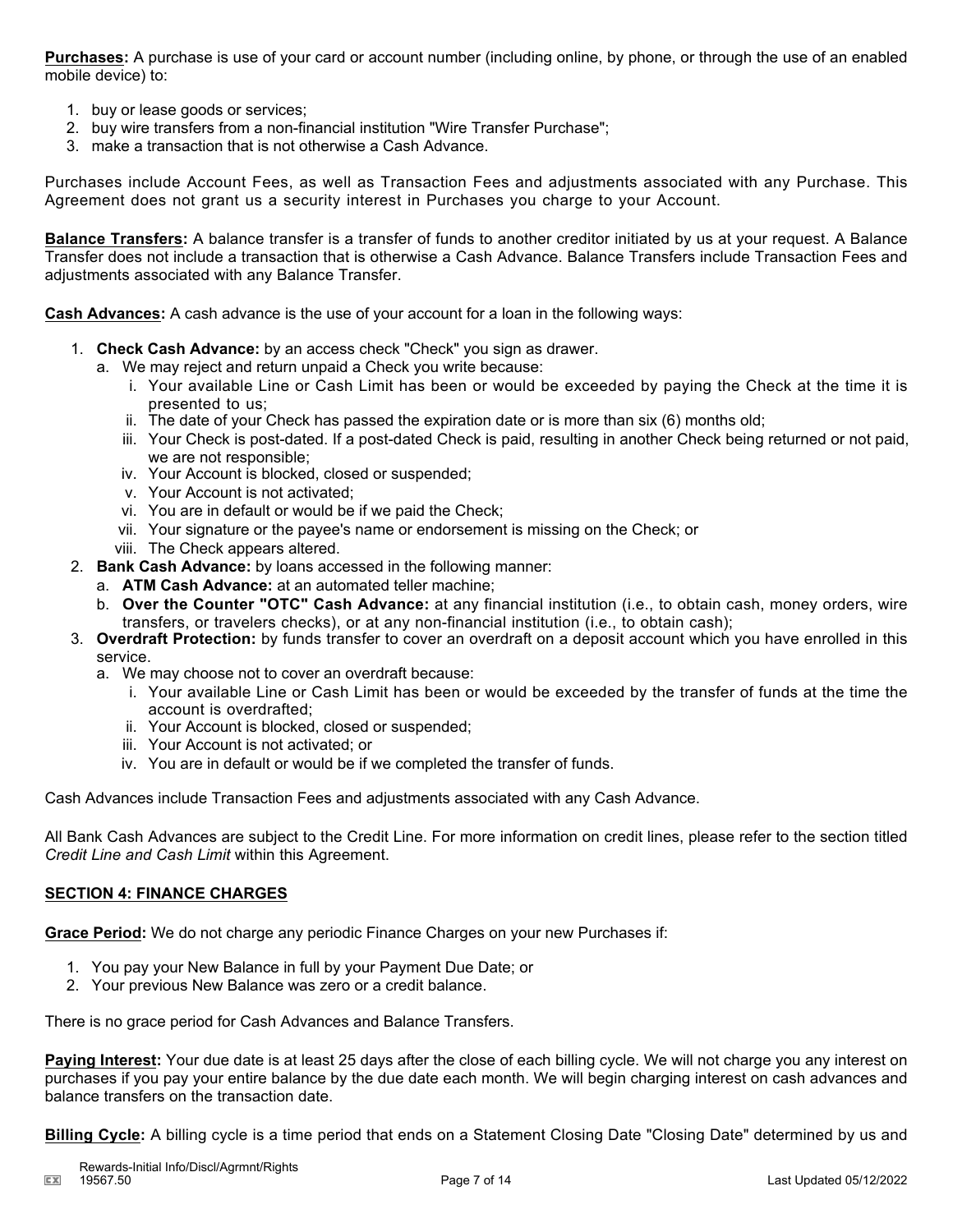**Purchases:** A purchase is use of your card or account number (including online, by phone, or through the use of an enabled mobile device) to:

- 1. buy or lease goods or services;
- 2. buy wire transfers from a non-financial institution "Wire Transfer Purchase";
- 3. make a transaction that is not otherwise a Cash Advance.

Purchases include Account Fees, as well as Transaction Fees and adjustments associated with any Purchase. This Agreement does not grant us a security interest in Purchases you charge to your Account.

**Balance Transfers:** A balance transfer is a transfer of funds to another creditor initiated by us at your request. A Balance Transfer does not include a transaction that is otherwise a Cash Advance. Balance Transfers include Transaction Fees and adjustments associated with any Balance Transfer.

**Cash Advances:** A cash advance is the use of your account for a loan in the following ways:

- 1. **Check Cash Advance:** by an access check "Check" you sign as drawer.
	- a. We may reject and return unpaid a Check you write because:
		- i. Your available Line or Cash Limit has been or would be exceeded by paying the Check at the time it is presented to us;
		- ii. The date of your Check has passed the expiration date or is more than six (6) months old;
		- iii. Your Check is post-dated. If a post-dated Check is paid, resulting in another Check being returned or not paid, we are not responsible;
		- iv. Your Account is blocked, closed or suspended;
		- v. Your Account is not activated;
		- vi. You are in default or would be if we paid the Check;
		- vii. Your signature or the payee's name or endorsement is missing on the Check; or
		- viii. The Check appears altered.
- 2. **Bank Cash Advance:** by loans accessed in the following manner:
	- a. **ATM Cash Advance:** at an automated teller machine;
	- b. **Over the Counter "OTC" Cash Advance:** at any financial institution (i.e., to obtain cash, money orders, wire transfers, or travelers checks), or at any non-financial institution (i.e., to obtain cash);
- 3. **Overdraft Protection:** by funds transfer to cover an overdraft on a deposit account which you have enrolled in this service.
	- a. We may choose not to cover an overdraft because:
		- i. Your available Line or Cash Limit has been or would be exceeded by the transfer of funds at the time the account is overdrafted;
		- ii. Your Account is blocked, closed or suspended;
		- iii. Your Account is not activated; or
		- iv. You are in default or would be if we completed the transfer of funds.

Cash Advances include Transaction Fees and adjustments associated with any Cash Advance.

All Bank Cash Advances are subject to the Credit Line. For more information on credit lines, please refer to the section titled *Credit Line and Cash Limit* within this Agreement.

#### **SECTION 4: FINANCE CHARGES**

**Grace Period:** We do not charge any periodic Finance Charges on your new Purchases if:

- 1. You pay your New Balance in full by your Payment Due Date; or
- 2. Your previous New Balance was zero or a credit balance.

There is no grace period for Cash Advances and Balance Transfers.

**Paying Interest:** Your due date is at least 25 days after the close of each billing cycle. We will not charge you any interest on purchases if you pay your entire balance by the due date each month. We will begin charging interest on cash advances and balance transfers on the transaction date.

**Billing Cycle:** A billing cycle is a time period that ends on a Statement Closing Date "Closing Date" determined by us and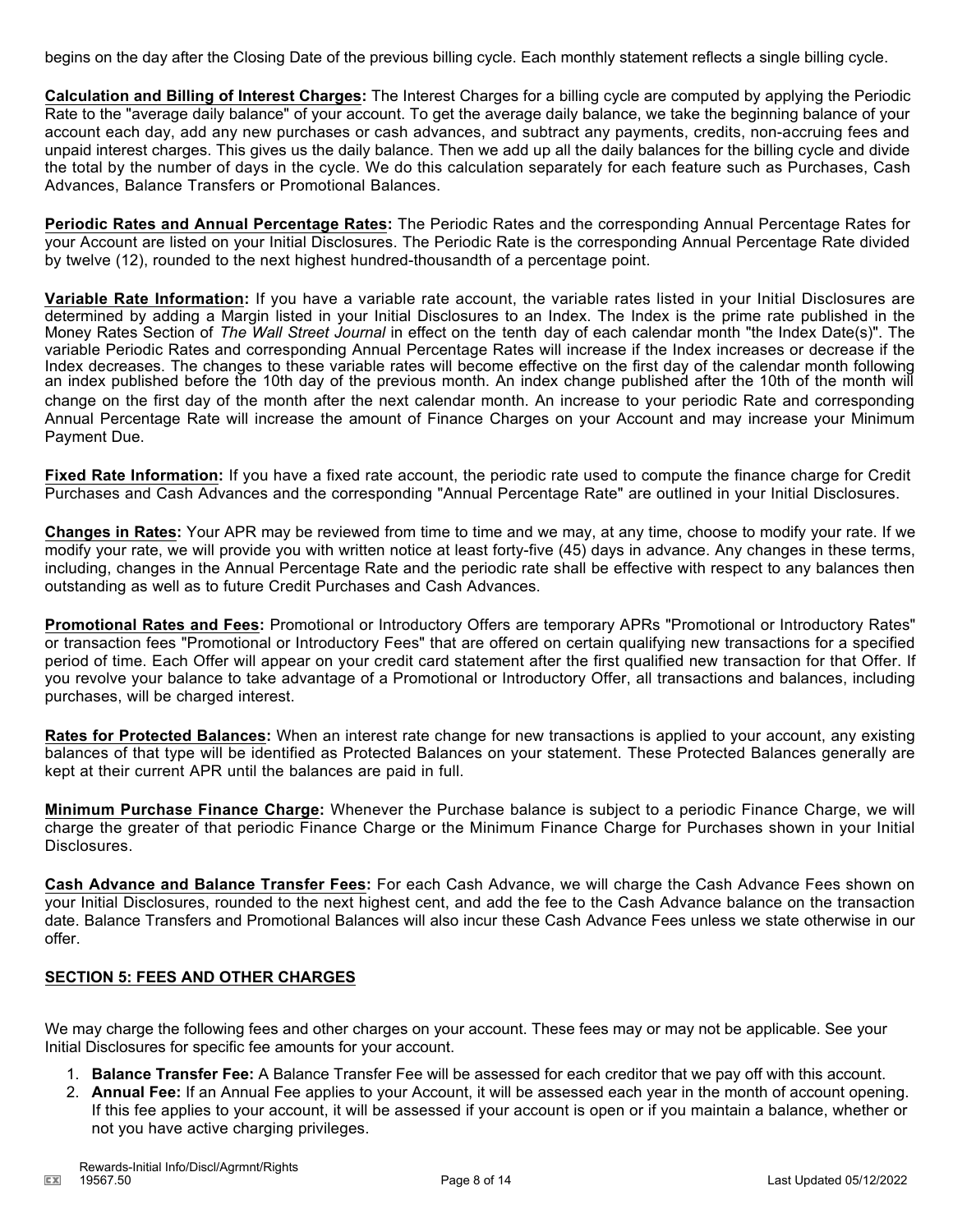begins on the day after the Closing Date of the previous billing cycle. Each monthly statement reflects a single billing cycle.

**Calculation and Billing of Interest Charges:** The Interest Charges for a billing cycle are computed by applying the Periodic Rate to the "average daily balance" of your account. To get the average daily balance, we take the beginning balance of your account each day, add any new purchases or cash advances, and subtract any payments, credits, non-accruing fees and unpaid interest charges. This gives us the daily balance. Then we add up all the daily balances for the billing cycle and divide the total by the number of days in the cycle. We do this calculation separately for each feature such as Purchases, Cash Advances, Balance Transfers or Promotional Balances.

**Periodic Rates and Annual Percentage Rates:** The Periodic Rates and the corresponding Annual Percentage Rates for your Account are listed on your Initial Disclosures. The Periodic Rate is the corresponding Annual Percentage Rate divided by twelve (12), rounded to the next highest hundred-thousandth of a percentage point.

**Variable Rate Information:** If you have a variable rate account, the variable rates listed in your Initial Disclosures are determined by adding a Margin listed in your Initial Disclosures to an Index. The Index is the prime rate published in the Money Rates Section of *The Wall Street Journal* in effect on the tenth day of each calendar month "the Index Date(s)". The variable Periodic Rates and corresponding Annual Percentage Rates will increase if the Index increases or decrease if the Index decreases. The changes to these variable rates will become effective on the first day of the calendar month following an index published before the 10th day of the previous month. An index change published after the 10th of the month will change on the first day of the month after the next calendar month. An increase to your periodic Rate and corresponding Annual Percentage Rate will increase the amount of Finance Charges on your Account and may increase your Minimum Payment Due.

**Fixed Rate Information:** If you have a fixed rate account, the periodic rate used to compute the finance charge for Credit Purchases and Cash Advances and the corresponding "Annual Percentage Rate" are outlined in your Initial Disclosures.

**Changes in Rates:** Your APR may be reviewed from time to time and we may, at any time, choose to modify your rate. If we modify your rate, we will provide you with written notice at least forty-five (45) days in advance. Any changes in these terms, including, changes in the Annual Percentage Rate and the periodic rate shall be effective with respect to any balances then outstanding as well as to future Credit Purchases and Cash Advances.

**Promotional Rates and Fees:** Promotional or Introductory Offers are temporary APRs "Promotional or Introductory Rates" or transaction fees "Promotional or Introductory Fees" that are offered on certain qualifying new transactions for a specified period of time. Each Offer will appear on your credit card statement after the first qualified new transaction for that Offer. If you revolve your balance to take advantage of a Promotional or Introductory Offer, all transactions and balances, including purchases, will be charged interest.

**Rates for Protected Balances:** When an interest rate change for new transactions is applied to your account, any existing balances of that type will be identified as Protected Balances on your statement. These Protected Balances generally are kept at their current APR until the balances are paid in full.

**Minimum Purchase Finance Charge:** Whenever the Purchase balance is subject to a periodic Finance Charge, we will charge the greater of that periodic Finance Charge or the Minimum Finance Charge for Purchases shown in your Initial Disclosures.

**Cash Advance and Balance Transfer Fees:** For each Cash Advance, we will charge the Cash Advance Fees shown on your Initial Disclosures, rounded to the next highest cent, and add the fee to the Cash Advance balance on the transaction date. Balance Transfers and Promotional Balances will also incur these Cash Advance Fees unless we state otherwise in our offer.

### **SECTION 5: FEES AND OTHER CHARGES**

We may charge the following fees and other charges on your account. These fees may or may not be applicable. See your Initial Disclosures for specific fee amounts for your account.

- 1. **Balance Transfer Fee:** A Balance Transfer Fee will be assessed for each creditor that we pay off with this account.
- 2. **Annual Fee:** If an Annual Fee applies to your Account, it will be assessed each year in the month of account opening. If this fee applies to your account, it will be assessed if your account is open or if you maintain a balance, whether or not you have active charging privileges.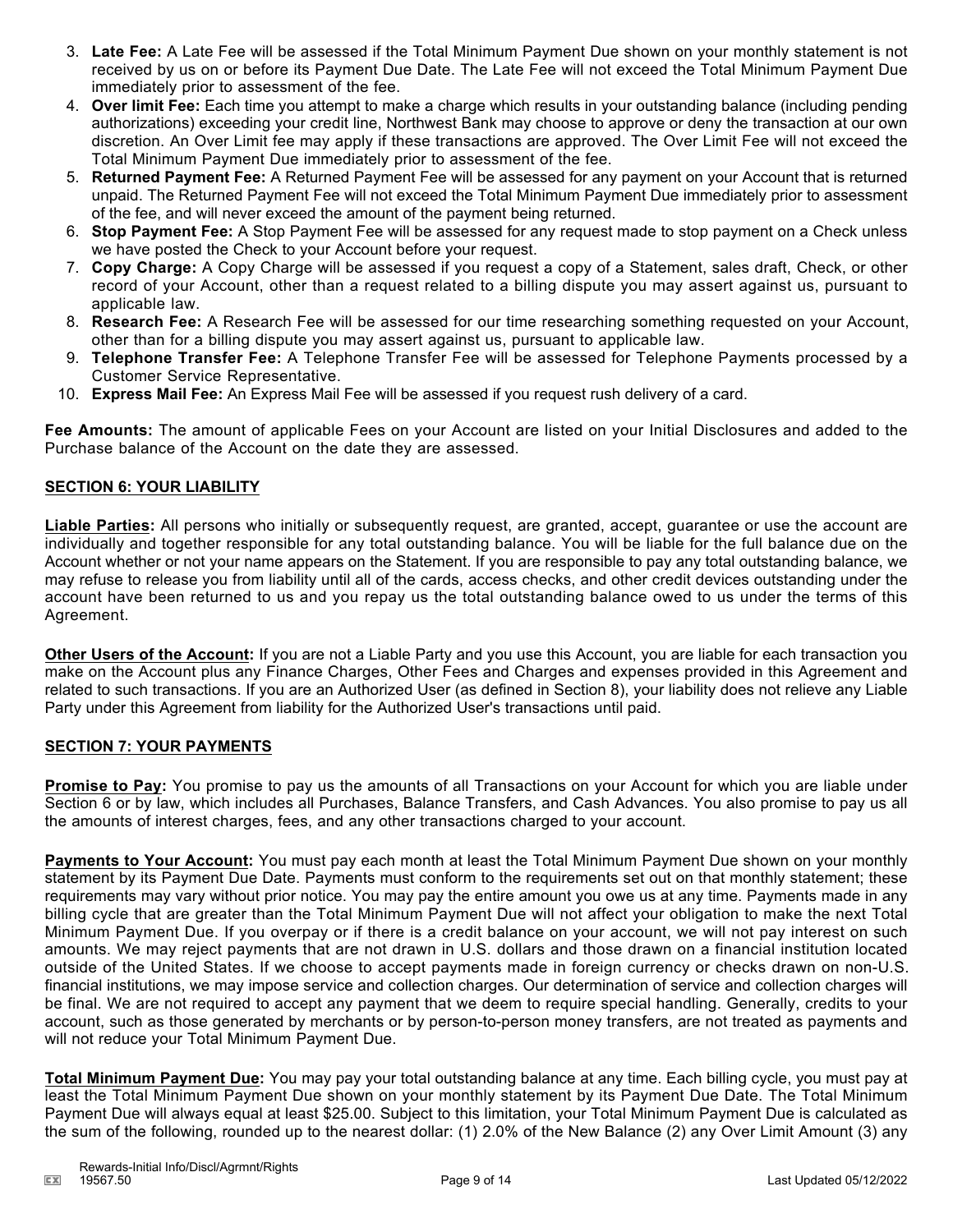- 3. **Late Fee:** A Late Fee will be assessed if the Total Minimum Payment Due shown on your monthly statement is not received by us on or before its Payment Due Date. The Late Fee will not exceed the Total Minimum Payment Due immediately prior to assessment of the fee.
- 4. **Over limit Fee:** Each time you attempt to make a charge which results in your outstanding balance (including pending authorizations) exceeding your credit line, Northwest Bank may choose to approve or deny the transaction at our own discretion. An Over Limit fee may apply if these transactions are approved. The Over Limit Fee will not exceed the Total Minimum Payment Due immediately prior to assessment of the fee.
- 5. **Returned Payment Fee:** A Returned Payment Fee will be assessed for any payment on your Account that is returned unpaid. The Returned Payment Fee will not exceed the Total Minimum Payment Due immediately prior to assessment of the fee, and will never exceed the amount of the payment being returned.
- 6. **Stop Payment Fee:** A Stop Payment Fee will be assessed for any request made to stop payment on a Check unless we have posted the Check to your Account before your request.
- 7. **Copy Charge:** A Copy Charge will be assessed if you request a copy of a Statement, sales draft, Check, or other record of your Account, other than a request related to a billing dispute you may assert against us, pursuant to applicable law.
- 8. **Research Fee:** A Research Fee will be assessed for our time researching something requested on your Account, other than for a billing dispute you may assert against us, pursuant to applicable law.
- 9. **Telephone Transfer Fee:** A Telephone Transfer Fee will be assessed for Telephone Payments processed by a Customer Service Representative.
- 10. **Express Mail Fee:** An Express Mail Fee will be assessed if you request rush delivery of a card.

**Fee Amounts:** The amount of applicable Fees on your Account are listed on your Initial Disclosures and added to the Purchase balance of the Account on the date they are assessed.

#### **SECTION 6: YOUR LIABILITY**

**Liable Parties:** All persons who initially or subsequently request, are granted, accept, guarantee or use the account are individually and together responsible for any total outstanding balance. You will be liable for the full balance due on the Account whether or not your name appears on the Statement. If you are responsible to pay any total outstanding balance, we may refuse to release you from liability until all of the cards, access checks, and other credit devices outstanding under the account have been returned to us and you repay us the total outstanding balance owed to us under the terms of this Agreement.

**Other Users of the Account:** If you are not a Liable Party and you use this Account, you are liable for each transaction you make on the Account plus any Finance Charges, Other Fees and Charges and expenses provided in this Agreement and related to such transactions. If you are an Authorized User (as defined in Section 8), your liability does not relieve any Liable Party under this Agreement from liability for the Authorized User's transactions until paid.

### **SECTION 7: YOUR PAYMENTS**

**Promise to Pay:** You promise to pay us the amounts of all Transactions on your Account for which you are liable under Section 6 or by law, which includes all Purchases, Balance Transfers, and Cash Advances. You also promise to pay us all the amounts of interest charges, fees, and any other transactions charged to your account.

**Payments to Your Account:** You must pay each month at least the Total Minimum Payment Due shown on your monthly statement by its Payment Due Date. Payments must conform to the requirements set out on that monthly statement; these requirements may vary without prior notice. You may pay the entire amount you owe us at any time. Payments made in any billing cycle that are greater than the Total Minimum Payment Due will not affect your obligation to make the next Total Minimum Payment Due. If you overpay or if there is a credit balance on your account, we will not pay interest on such amounts. We may reject payments that are not drawn in U.S. dollars and those drawn on a financial institution located outside of the United States. If we choose to accept payments made in foreign currency or checks drawn on non-U.S. financial institutions, we may impose service and collection charges. Our determination of service and collection charges will be final. We are not required to accept any payment that we deem to require special handling. Generally, credits to your account, such as those generated by merchants or by person-to-person money transfers, are not treated as payments and will not reduce your Total Minimum Payment Due.

**Total Minimum Payment Due:** You may pay your total outstanding balance at any time. Each billing cycle, you must pay at least the Total Minimum Payment Due shown on your monthly statement by its Payment Due Date. The Total Minimum Payment Due will always equal at least \$25.00. Subject to this limitation, your Total Minimum Payment Due is calculated as the sum of the following, rounded up to the nearest dollar: (1) 2.0% of the New Balance (2) any Over Limit Amount (3) any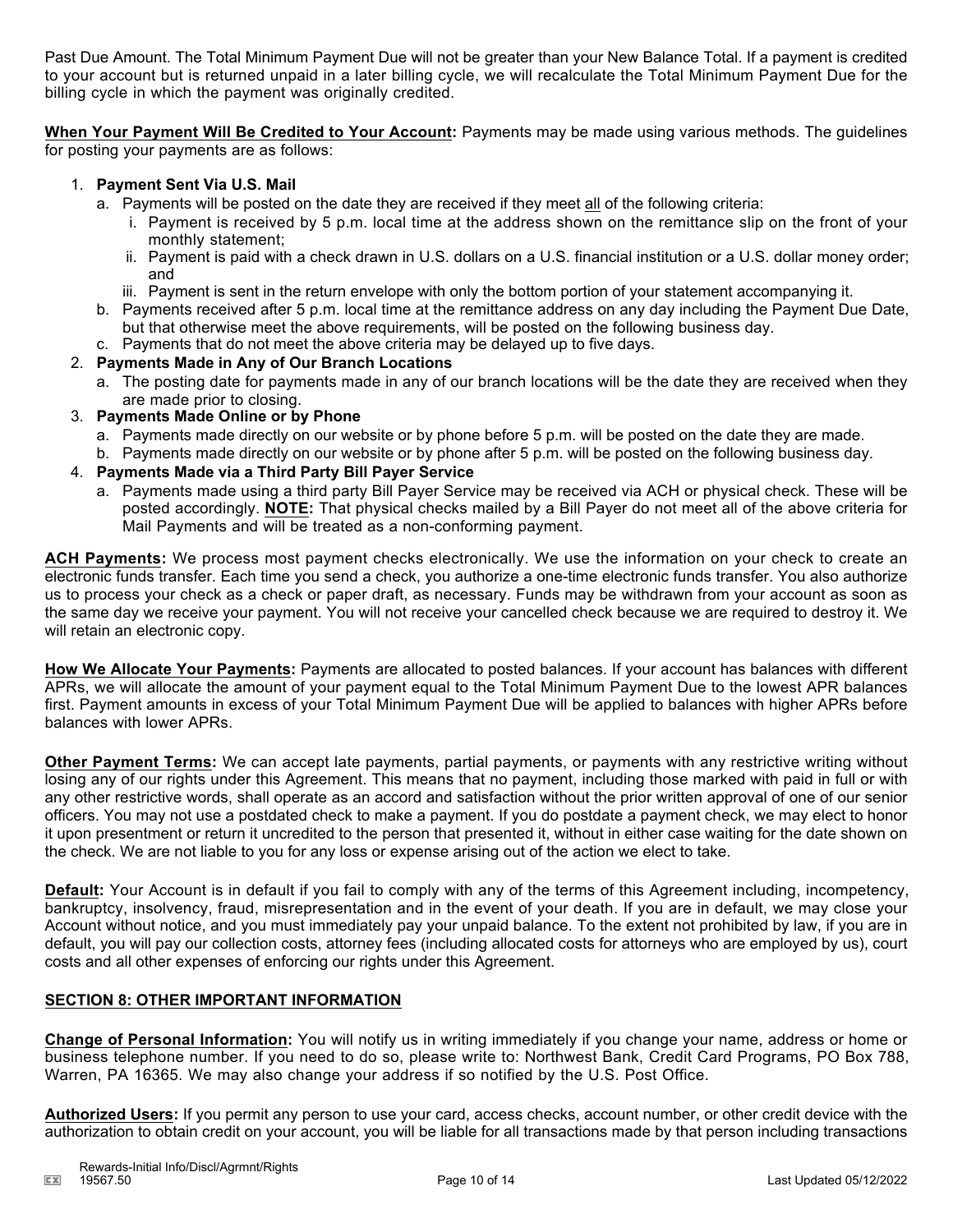Past Due Amount. The Total Minimum Payment Due will not be greater than your New Balance Total. If a payment is credited to your account but is returned unpaid in a later billing cycle, we will recalculate the Total Minimum Payment Due for the billing cycle in which the payment was originally credited.

**When Your Payment Will Be Credited to Your Account:** Payments may be made using various methods. The guidelines for posting your payments are as follows:

#### 1. **Payment Sent Via U.S. Mail**

- a. Payments will be posted on the date they are received if they meet all of the following criteria:
	- i. Payment is received by 5 p.m. local time at the address shown on the remittance slip on the front of your monthly statement;
	- ii. Payment is paid with a check drawn in U.S. dollars on a U.S. financial institution or a U.S. dollar money order; and
	- iii. Payment is sent in the return envelope with only the bottom portion of your statement accompanying it.
- b. Payments received after 5 p.m. local time at the remittance address on any day including the Payment Due Date, but that otherwise meet the above requirements, will be posted on the following business day.
- c. Payments that do not meet the above criteria may be delayed up to five days.

#### 2. **Payments Made in Any of Our Branch Locations**

- a. The posting date for payments made in any of our branch locations will be the date they are received when they are made prior to closing.
- 3. **Payments Made Online or by Phone**
	- a. Payments made directly on our website or by phone before 5 p.m. will be posted on the date they are made.
	- b. Payments made directly on our website or by phone after 5 p.m. will be posted on the following business day.
- 4. **Payments Made via a Third Party Bill Payer Service**
	- a. Payments made using a third party Bill Payer Service may be received via ACH or physical check. These will be posted accordingly. **NOTE:** That physical checks mailed by a Bill Payer do not meet all of the above criteria for Mail Payments and will be treated as a non-conforming payment.

**ACH Payments:** We process most payment checks electronically. We use the information on your check to create an electronic funds transfer. Each time you send a check, you authorize a one-time electronic funds transfer. You also authorize us to process your check as a check or paper draft, as necessary. Funds may be withdrawn from your account as soon as the same day we receive your payment. You will not receive your cancelled check because we are required to destroy it. We will retain an electronic copy.

**How We Allocate Your Payments:** Payments are allocated to posted balances. If your account has balances with different APRs, we will allocate the amount of your payment equal to the Total Minimum Payment Due to the lowest APR balances first. Payment amounts in excess of your Total Minimum Payment Due will be applied to balances with higher APRs before balances with lower APRs.

**Other Payment Terms:** We can accept late payments, partial payments, or payments with any restrictive writing without losing any of our rights under this Agreement. This means that no payment, including those marked with paid in full or with any other restrictive words, shall operate as an accord and satisfaction without the prior written approval of one of our senior officers. You may not use a postdated check to make a payment. If you do postdate a payment check, we may elect to honor it upon presentment or return it uncredited to the person that presented it, without in either case waiting for the date shown on the check. We are not liable to you for any loss or expense arising out of the action we elect to take.

**Default:** Your Account is in default if you fail to comply with any of the terms of this Agreement including, incompetency, bankruptcy, insolvency, fraud, misrepresentation and in the event of your death. If you are in default, we may close your Account without notice, and you must immediately pay your unpaid balance. To the extent not prohibited by law, if you are in default, you will pay our collection costs, attorney fees (including allocated costs for attorneys who are employed by us), court costs and all other expenses of enforcing our rights under this Agreement.

## **SECTION 8: OTHER IMPORTANT INFORMATION**

**Change of Personal Information:** You will notify us in writing immediately if you change your name, address or home or business telephone number. If you need to do so, please write to: Northwest Bank, Credit Card Programs, PO Box 788, Warren, PA 16365. We may also change your address if so notified by the U.S. Post Office.

**Authorized Users:** If you permit any person to use your card, access checks, account number, or other credit device with the authorization to obtain credit on your account, you will be liable for all transactions made by that person including transactions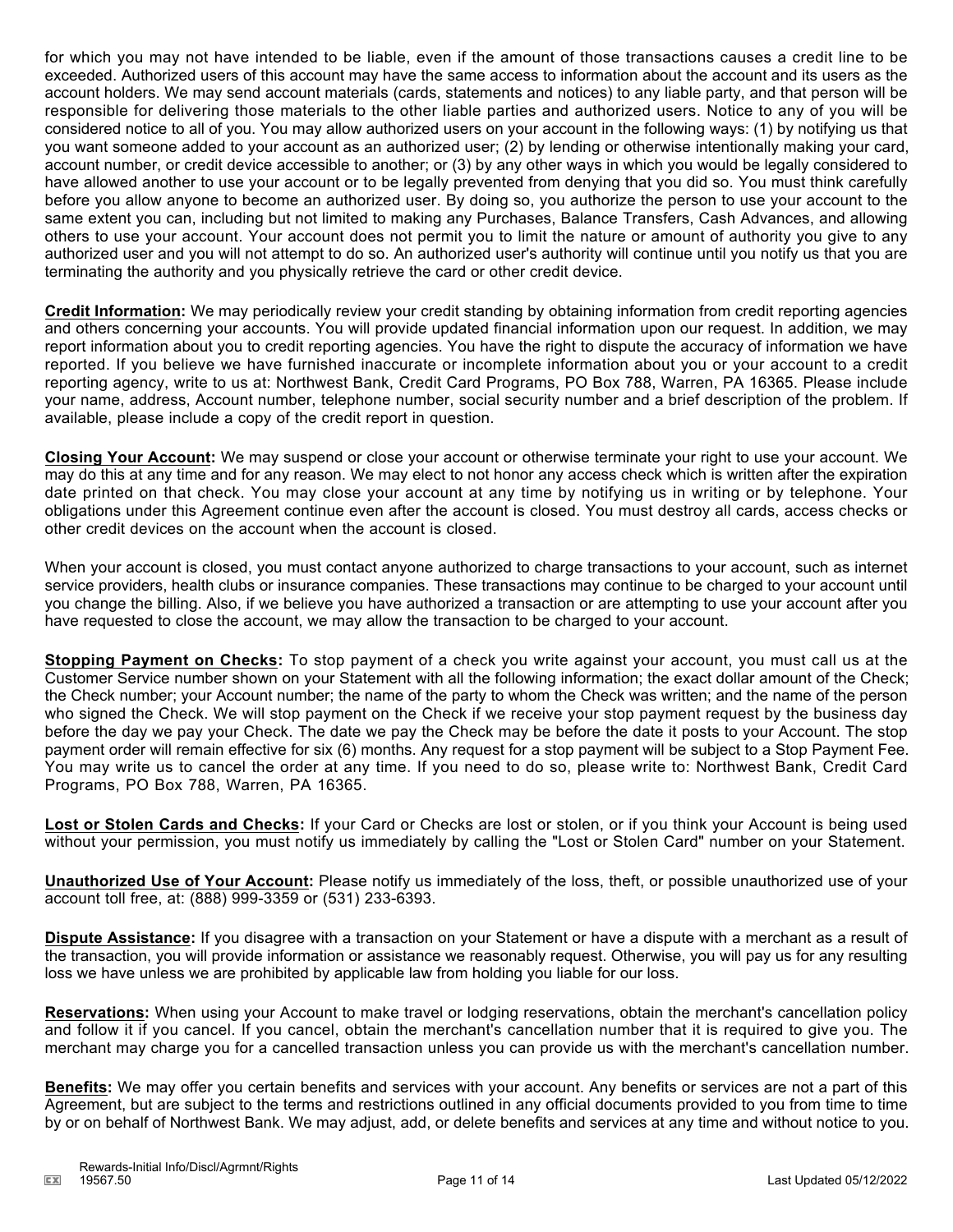for which you may not have intended to be liable, even if the amount of those transactions causes a credit line to be exceeded. Authorized users of this account may have the same access to information about the account and its users as the account holders. We may send account materials (cards, statements and notices) to any liable party, and that person will be responsible for delivering those materials to the other liable parties and authorized users. Notice to any of you will be considered notice to all of you. You may allow authorized users on your account in the following ways: (1) by notifying us that you want someone added to your account as an authorized user; (2) by lending or otherwise intentionally making your card, account number, or credit device accessible to another; or (3) by any other ways in which you would be legally considered to have allowed another to use your account or to be legally prevented from denying that you did so. You must think carefully before you allow anyone to become an authorized user. By doing so, you authorize the person to use your account to the same extent you can, including but not limited to making any Purchases, Balance Transfers, Cash Advances, and allowing others to use your account. Your account does not permit you to limit the nature or amount of authority you give to any authorized user and you will not attempt to do so. An authorized user's authority will continue until you notify us that you are terminating the authority and you physically retrieve the card or other credit device.

**Credit Information:** We may periodically review your credit standing by obtaining information from credit reporting agencies and others concerning your accounts. You will provide updated financial information upon our request. In addition, we may report information about you to credit reporting agencies. You have the right to dispute the accuracy of information we have reported. If you believe we have furnished inaccurate or incomplete information about you or your account to a credit reporting agency, write to us at: Northwest Bank, Credit Card Programs, PO Box 788, Warren, PA 16365. Please include your name, address, Account number, telephone number, social security number and a brief description of the problem. If available, please include a copy of the credit report in question.

**Closing Your Account:** We may suspend or close your account or otherwise terminate your right to use your account. We may do this at any time and for any reason. We may elect to not honor any access check which is written after the expiration date printed on that check. You may close your account at any time by notifying us in writing or by telephone. Your obligations under this Agreement continue even after the account is closed. You must destroy all cards, access checks or other credit devices on the account when the account is closed.

When your account is closed, you must contact anyone authorized to charge transactions to your account, such as internet service providers, health clubs or insurance companies. These transactions may continue to be charged to your account until you change the billing. Also, if we believe you have authorized a transaction or are attempting to use your account after you have requested to close the account, we may allow the transaction to be charged to your account.

**Stopping Payment on Checks:** To stop payment of a check you write against your account, you must call us at the Customer Service number shown on your Statement with all the following information; the exact dollar amount of the Check; the Check number; your Account number; the name of the party to whom the Check was written; and the name of the person who signed the Check. We will stop payment on the Check if we receive your stop payment request by the business day before the day we pay your Check. The date we pay the Check may be before the date it posts to your Account. The stop payment order will remain effective for six (6) months. Any request for a stop payment will be subject to a Stop Payment Fee. You may write us to cancel the order at any time. If you need to do so, please write to: Northwest Bank, Credit Card Programs, PO Box 788, Warren, PA 16365.

**Lost or Stolen Cards and Checks:** If your Card or Checks are lost or stolen, or if you think your Account is being used without your permission, you must notify us immediately by calling the "Lost or Stolen Card" number on your Statement.

**Unauthorized Use of Your Account:** Please notify us immediately of the loss, theft, or possible unauthorized use of your account toll free, at: (888) 999-3359 or (531) 233-6393.

**Dispute Assistance:** If you disagree with a transaction on your Statement or have a dispute with a merchant as a result of the transaction, you will provide information or assistance we reasonably request. Otherwise, you will pay us for any resulting loss we have unless we are prohibited by applicable law from holding you liable for our loss.

**Reservations:** When using your Account to make travel or lodging reservations, obtain the merchant's cancellation policy and follow it if you cancel. If you cancel, obtain the merchant's cancellation number that it is required to give you. The merchant may charge you for a cancelled transaction unless you can provide us with the merchant's cancellation number.

**Benefits:** We may offer you certain benefits and services with your account. Any benefits or services are not a part of this Agreement, but are subject to the terms and restrictions outlined in any official documents provided to you from time to time by or on behalf of Northwest Bank. We may adjust, add, or delete benefits and services at any time and without notice to you.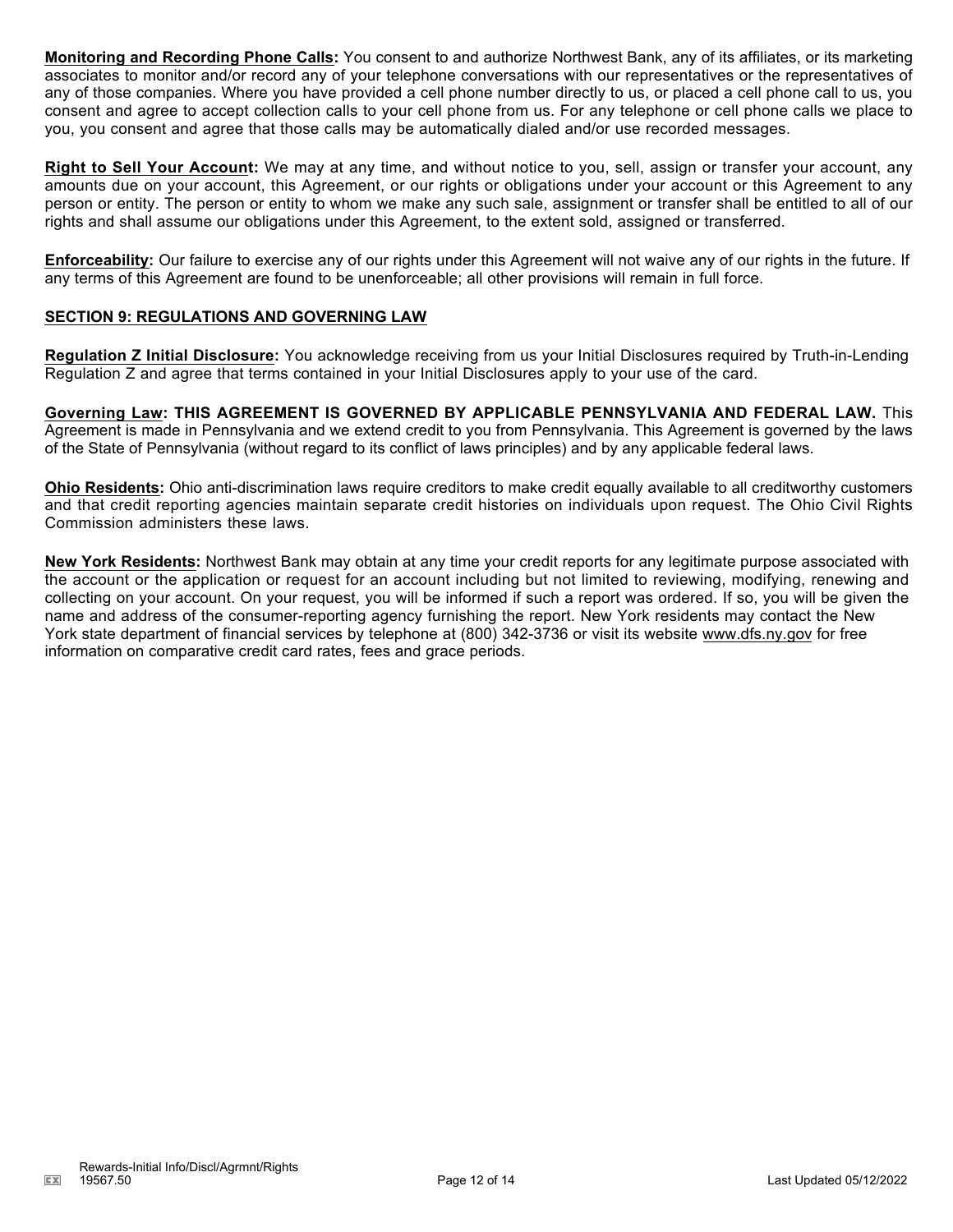**Monitoring and Recording Phone Calls:** You consent to and authorize Northwest Bank, any of its affiliates, or its marketing associates to monitor and/or record any of your telephone conversations with our representatives or the representatives of any of those companies. Where you have provided a cell phone number directly to us, or placed a cell phone call to us, you consent and agree to accept collection calls to your cell phone from us. For any telephone or cell phone calls we place to you, you consent and agree that those calls may be automatically dialed and/or use recorded messages.

**Right to Sell Your Account:** We may at any time, and without notice to you, sell, assign or transfer your account, any amounts due on your account, this Agreement, or our rights or obligations under your account or this Agreement to any person or entity. The person or entity to whom we make any such sale, assignment or transfer shall be entitled to all of our rights and shall assume our obligations under this Agreement, to the extent sold, assigned or transferred.

**Enforceability:** Our failure to exercise any of our rights under this Agreement will not waive any of our rights in the future. If any terms of this Agreement are found to be unenforceable; all other provisions will remain in full force.

### **SECTION 9: REGULATIONS AND GOVERNING LAW**

**Regulation Z Initial Disclosure:** You acknowledge receiving from us your Initial Disclosures required by Truth-in-Lending Regulation Z and agree that terms contained in your Initial Disclosures apply to your use of the card.

**Governing Law: THIS AGREEMENT IS GOVERNED BY APPLICABLE PENNSYLVANIA AND FEDERAL LAW.** This Agreement is made in Pennsylvania and we extend credit to you from Pennsylvania. This Agreement is governed by the laws of the State of Pennsylvania (without regard to its conflict of laws principles) and by any applicable federal laws.

**Ohio Residents:** Ohio anti-discrimination laws require creditors to make credit equally available to all creditworthy customers and that credit reporting agencies maintain separate credit histories on individuals upon request. The Ohio Civil Rights Commission administers these laws.

**New York Residents:** Northwest Bank may obtain at any time your credit reports for any legitimate purpose associated with the account or the application or request for an account including but not limited to reviewing, modifying, renewing and collecting on your account. On your request, you will be informed if such a report was ordered. If so, you will be given the name and address of the consumer-reporting agency furnishing the report. New York residents may contact the New York state department of financial services by telephone at (800) 342-3736 or visit its website www.dfs.ny.gov for free information on comparative credit card rates, fees and grace periods.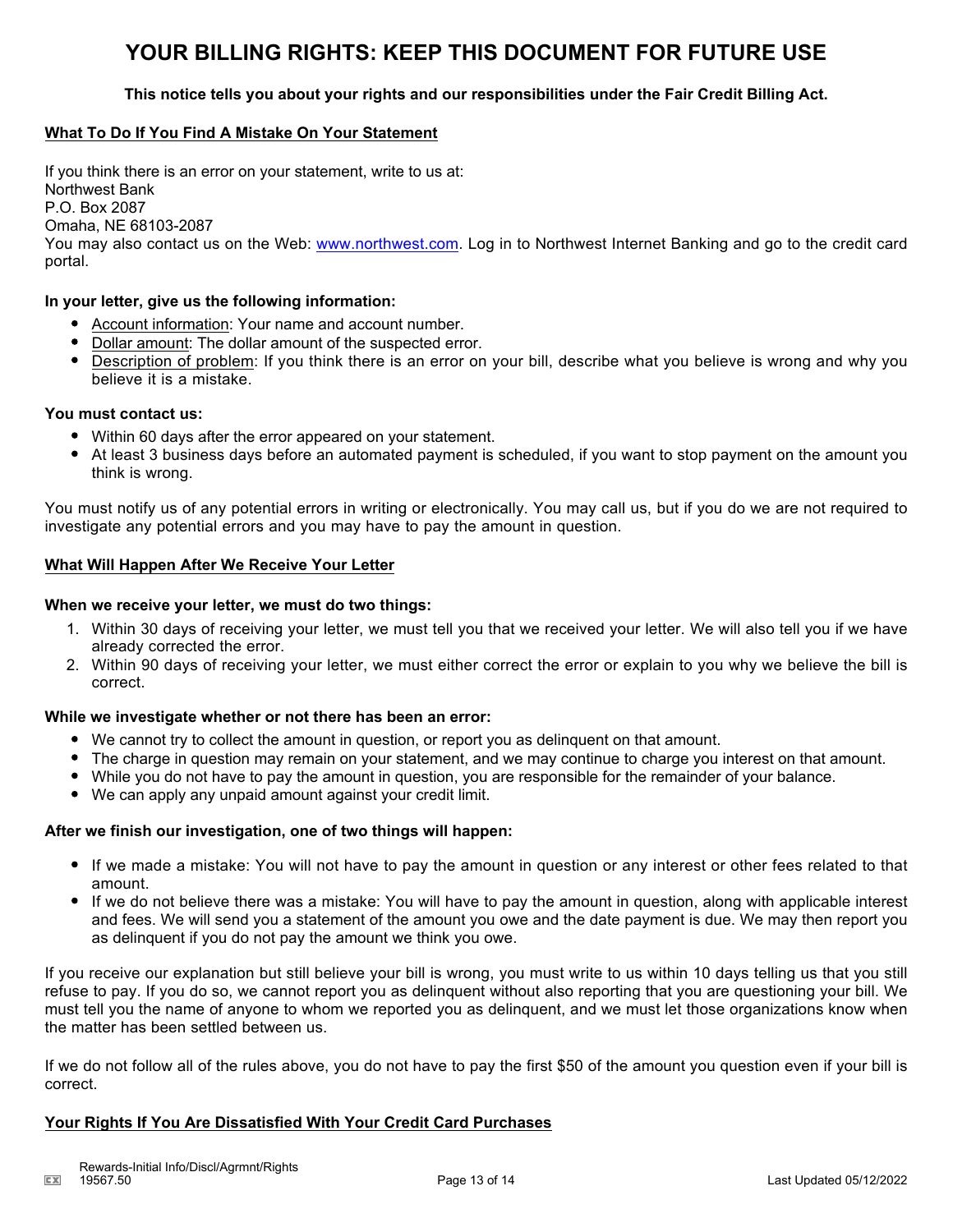# **YOUR BILLING RIGHTS: KEEP THIS DOCUMENT FOR FUTURE USE**

### **This notice tells you about your rights and our responsibilities under the Fair Credit Billing Act.**

### **What To Do If You Find A Mistake On Your Statement**

If you think there is an error on your statement, write to us at: Northwest Bank P.O. Box 2087 Omaha, NE 68103-2087 You may also contact us on the Web: www.northwest.com. Log in to Northwest Internet Banking and go to the credit card portal.

#### **In your letter, give us the following information:**

- Account information: Your name and account number.
- Dollar amount: The dollar amount of the suspected error.
- Description of problem: If you think there is an error on your bill, describe what you believe is wrong and why you believe it is a mistake.

#### **You must contact us:**

- Within 60 days after the error appeared on your statement.
- At least 3 business days before an automated payment is scheduled, if you want to stop payment on the amount you think is wrong.

You must notify us of any potential errors in writing or electronically. You may call us, but if you do we are not required to investigate any potential errors and you may have to pay the amount in question.

#### **What Will Happen After We Receive Your Letter**

#### **When we receive your letter, we must do two things:**

- 1. Within 30 days of receiving your letter, we must tell you that we received your letter. We will also tell you if we have already corrected the error.
- 2. Within 90 days of receiving your letter, we must either correct the error or explain to you why we believe the bill is correct.

#### **While we investigate whether or not there has been an error:**

- We cannot try to collect the amount in question, or report you as delinquent on that amount.
- The charge in question may remain on your statement, and we may continue to charge you interest on that amount.
- While you do not have to pay the amount in question, you are responsible for the remainder of your balance.
- We can apply any unpaid amount against your credit limit.

#### **After we finish our investigation, one of two things will happen:**

- If we made a mistake: You will not have to pay the amount in question or any interest or other fees related to that amount.
- If we do not believe there was a mistake: You will have to pay the amount in question, along with applicable interest and fees. We will send you a statement of the amount you owe and the date payment is due. We may then report you as delinquent if you do not pay the amount we think you owe.

If you receive our explanation but still believe your bill is wrong, you must write to us within 10 days telling us that you still refuse to pay. If you do so, we cannot report you as delinquent without also reporting that you are questioning your bill. We must tell you the name of anyone to whom we reported you as delinquent, and we must let those organizations know when the matter has been settled between us.

If we do not follow all of the rules above, you do not have to pay the first \$50 of the amount you question even if your bill is correct.

#### **Your Rights If You Are Dissatisfied With Your Credit Card Purchases**